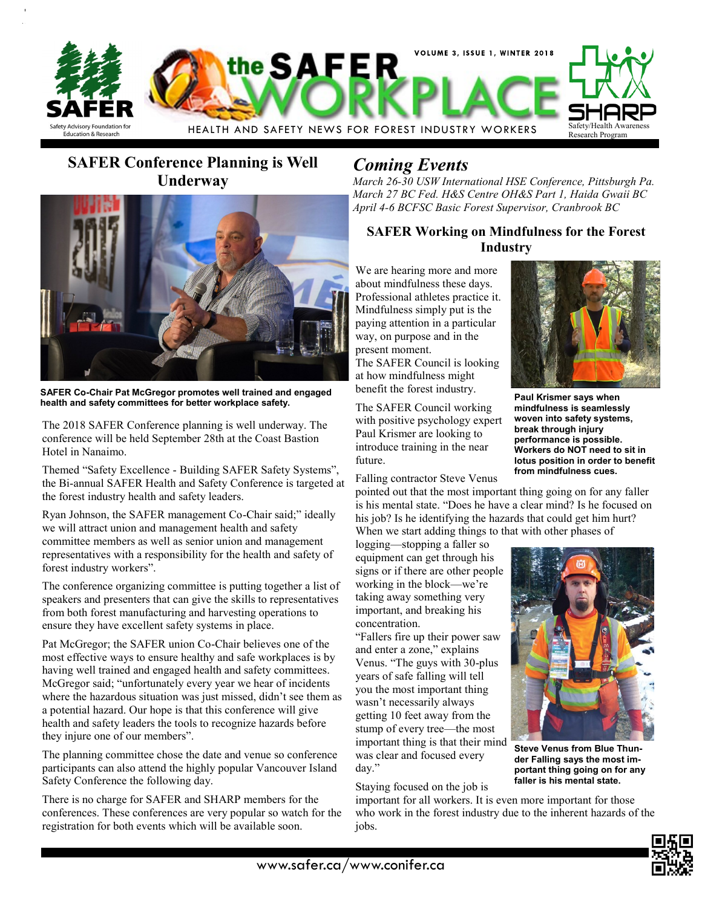

## **SAFER Conference Planning is Well Underway**



**SAFER Co-Chair Pat McGregor promotes well trained and engaged health and safety committees for better workplace safety.**

The 2018 SAFER Conference planning is well underway. The conference will be held September 28th at the Coast Bastion Hotel in Nanaimo.

Themed "Safety Excellence - Building SAFER Safety Systems", the Bi-annual SAFER Health and Safety Conference is targeted at the forest industry health and safety leaders.

Ryan Johnson, the SAFER management Co-Chair said;" ideally we will attract union and management health and safety committee members as well as senior union and management representatives with a responsibility for the health and safety of forest industry workers".

The conference organizing committee is putting together a list of speakers and presenters that can give the skills to representatives from both forest manufacturing and harvesting operations to ensure they have excellent safety systems in place.

Pat McGregor; the SAFER union Co-Chair believes one of the most effective ways to ensure healthy and safe workplaces is by having well trained and engaged health and safety committees. McGregor said; "unfortunately every year we hear of incidents where the hazardous situation was just missed, didn't see them as a potential hazard. Our hope is that this conference will give health and safety leaders the tools to recognize hazards before they injure one of our members".

The planning committee chose the date and venue so conference participants can also attend the highly popular Vancouver Island Safety Conference the following day.

There is no charge for SAFER and SHARP members for the conferences. These conferences are very popular so watch for the registration for both events which will be available soon.

### *Coming Events*

*March 26-30 USW International HSE Conference, Pittsburgh Pa. March 27 BC Fed. H&S Centre OH&S Part 1, Haida Gwaii BC April 4-6 BCFSC Basic Forest Supervisor, Cranbrook BC*

### **SAFER Working on Mindfulness for the Forest Industry**

We are hearing more and more about mindfulness these days. Professional athletes practice it. Mindfulness simply put is the paying attention in a particular way, on purpose and in the present moment.

The SAFER Council is looking at how mindfulness might benefit the forest industry.

The SAFER Council working with positive psychology expert Paul Krismer are looking to introduce training in the near future.

Falling contractor Steve Venus

**Paul Krismer says when** 

**mindfulness is seamlessly woven into safety systems, break through injury performance is possible. Workers do NOT need to sit in lotus position in order to benefit from mindfulness cues.**

pointed out that the most important thing going on for any faller is his mental state. "Does he have a clear mind? Is he focused on his job? Is he identifying the hazards that could get him hurt? When we start adding things to that with other phases of

logging—stopping a faller so equipment can get through his signs or if there are other people working in the block—we're taking away something very important, and breaking his concentration.

"Fallers fire up their power saw and enter a zone," explains Venus. "The guys with 30-plus years of safe falling will tell you the most important thing wasn't necessarily always getting 10 feet away from the stump of every tree—the most important thing is that their mind was clear and focused every day."

Staying focused on the job is

important for all workers. It is even more important for those who work in the forest industry due to the inherent hazards of the jobs.



**Steve Venus from Blue Thunder Falling says the most important thing going on for any faller is his mental state.**